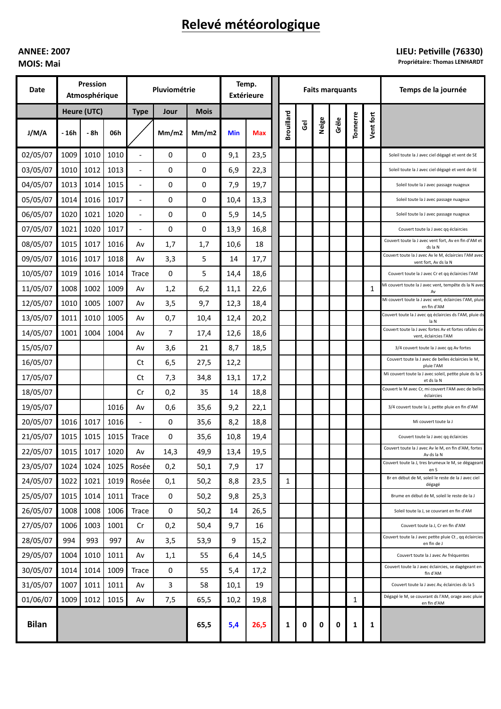# Relevé météorologique

## **ANNEE: 2007 MOIS: Mai**

## LIEU: Petiville (76330)

**Propriétaire: Thomas LENHARDT** 

| Date         | Pression<br>Atmosphérique |      |      | Pluviométrie             |       |             | Temp.<br><b>Extérieure</b> |            | <b>Faits marquants</b> |                |       |       |          |           | Temps de la journée                                                             |
|--------------|---------------------------|------|------|--------------------------|-------|-------------|----------------------------|------------|------------------------|----------------|-------|-------|----------|-----------|---------------------------------------------------------------------------------|
|              | Heure (UTC)               |      |      | <b>Type</b>              | Jour  | <b>Mois</b> |                            |            |                        |                |       |       |          |           |                                                                                 |
| J/M/A        | - 16h                     | - 8h | 06h  |                          | Mm/m2 | Mm/m2       | <b>Min</b>                 | <b>Max</b> | <b>Brouillard</b>      | $\overline{g}$ | Neige | Grêle | Tonnerre | Vent fort |                                                                                 |
| 02/05/07     | 1009                      | 1010 | 1010 |                          | 0     | 0           | 9,1                        | 23,5       |                        |                |       |       |          |           | Soleil toute la J avec ciel dégagé et vent de SE                                |
| 03/05/07     | 1010                      | 1012 | 1013 | $\overline{\phantom{a}}$ | 0     | 0           | 6,9                        | 22,3       |                        |                |       |       |          |           | Soleil toute la J avec ciel dégagé et vent de SE                                |
| 04/05/07     | 1013                      | 1014 | 1015 | $\overline{\phantom{a}}$ | 0     | 0           | 7,9                        | 19,7       |                        |                |       |       |          |           | Soleil toute la J avec passage nuageux                                          |
| 05/05/07     | 1014                      | 1016 | 1017 | $\overline{\phantom{a}}$ | 0     | 0           | 10,4                       | 13,3       |                        |                |       |       |          |           | Soleil toute la J avec passage nuageux                                          |
| 06/05/07     | 1020                      | 1021 | 1020 | $\overline{\phantom{a}}$ | 0     | 0           | 5,9                        | 14,5       |                        |                |       |       |          |           | Soleil toute la J avec passage nuageux                                          |
| 07/05/07     | 1021                      | 1020 | 1017 | $\overline{\phantom{a}}$ | 0     | 0           | 13,9                       | 16,8       |                        |                |       |       |          |           | Couvert toute la J avec qq éclaircies                                           |
| 08/05/07     | 1015                      | 1017 | 1016 | A٧                       | 1,7   | 1,7         | 10,6                       | 18         |                        |                |       |       |          |           | Couvert toute la J avec vent fort, Av en fin d'AM et<br>ds la N                 |
| 09/05/07     | 1016                      | 1017 | 1018 | Av                       | 3,3   | 5           | 14                         | 17,7       |                        |                |       |       |          |           | Couvert toute la J avec Av le M, éclaircies l'AM avec<br>vent fort, Av ds la N  |
| 10/05/07     | 1019                      | 1016 | 1014 | <b>Trace</b>             | 0     | 5           | 14,4                       | 18,6       |                        |                |       |       |          |           | Couvert toute la J avec Cr et qq éclaircies l'AM                                |
| 11/05/07     | 1008                      | 1002 | 1009 | Av                       | 1,2   | 6,2         | 11,1                       | 22,6       |                        |                |       |       |          | 1         | Mi couvert toute la J avec vent, tempête ds la N avec<br>Av                     |
| 12/05/07     | 1010                      | 1005 | 1007 | Av                       | 3,5   | 9,7         | 12,3                       | 18,4       |                        |                |       |       |          |           | Mi couvert toute la J avec vent, éclaircies l'AM, pluie<br>en fin d'AM          |
| 13/05/07     | 1011                      | 1010 | 1005 | Av                       | 0,7   | 10,4        | 12,4                       | 20,2       |                        |                |       |       |          |           | Couvert toute la J avec qq éclaircies ds l'AM, pluie ds<br>la N                 |
| 14/05/07     | 1001                      | 1004 | 1004 | A٧                       | 7     | 17,4        | 12,6                       | 18,6       |                        |                |       |       |          |           | Couvert toute la J avec fortes Av et fortes rafales de<br>vent, éclaircies l'AM |
| 15/05/07     |                           |      |      | A٧                       | 3,6   | 21          | 8,7                        | 18,5       |                        |                |       |       |          |           | 3/4 couvert toute la J avec qq Av fortes                                        |
| 16/05/07     |                           |      |      | Ct                       | 6,5   | 27,5        | 12,2                       |            |                        |                |       |       |          |           | Couvert toute la J avec de belles éclaircies le M,<br>pluie l'AM                |
| 17/05/07     |                           |      |      | Ct                       | 7,3   | 34,8        | 13,1                       | 17,2       |                        |                |       |       |          |           | Mi couvert toute la J avec soleil, petite pluie ds la S<br>et ds la N           |
| 18/05/07     |                           |      |      | Cr                       | 0,2   | 35          | 14                         | 18,8       |                        |                |       |       |          |           | Couvert le M avec Cr, mi couvert l'AM avec de belles<br>éclaircies              |
| 19/05/07     |                           |      | 1016 | Av                       | 0,6   | 35,6        | 9,2                        | 22,1       |                        |                |       |       |          |           | 3/4 couvert toute la J, petite pluie en fin d'AM                                |
| 20/05/07     | 1016                      | 1017 | 1016 |                          | 0     | 35,6        | 8,2                        | 18,8       |                        |                |       |       |          |           | Mi couvert toute la J                                                           |
| 21/05/07     | 1015                      | 1015 | 1015 | Trace                    | 0     | 35,6        | 10,8                       | 19,4       |                        |                |       |       |          |           | Couvert toute la J avec qq éclaircies                                           |
| 22/05/07     | 1015                      | 1017 | 1020 | Av                       | 14,3  | 49,9        | 13,4                       | 19,5       |                        |                |       |       |          |           | Couvert toute la J avec Av le M, en fin d'AM, fortes<br>Av ds la N              |
| 23/05/07     | 1024                      | 1024 | 1025 | Rosée                    | 0,2   | 50,1        | 7,9                        | 17         |                        |                |       |       |          |           | Couvert toute la J, tres brumeux le M, se dégageant<br>en S                     |
| 24/05/07     | 1022                      | 1021 | 1019 | Rosée                    | 0,1   | 50,2        | 8,8                        | 23,5       | $\mathbf{1}$           |                |       |       |          |           | Br en début de M, soleil le reste de la J avec ciel<br>dégagé                   |
| 25/05/07     | 1015                      | 1014 | 1011 | <b>Trace</b>             | 0     | 50,2        | 9,8                        | 25,3       |                        |                |       |       |          |           | Brume en début de M, soleil le reste de la J                                    |
| 26/05/07     | 1008                      | 1008 | 1006 | <b>Trace</b>             | 0     | 50,2        | 14                         | 26,5       |                        |                |       |       |          |           | Soleil toute la J, se couvrant en fin d'AM                                      |
| 27/05/07     | 1006                      | 1003 | 1001 | Cr                       | 0,2   | 50,4        | 9,7                        | 16         |                        |                |       |       |          |           | Couvert toute la J, Cr en fin d'AM                                              |
| 28/05/07     | 994                       | 993  | 997  | Av                       | 3,5   | 53,9        | 9                          | 15,2       |                        |                |       |       |          |           | Couvert toute la J avec petite pluie Ct, qq éclaircies<br>en fin de J           |
| 29/05/07     | 1004                      | 1010 | 1011 | Av                       | 1,1   | 55          | 6,4                        | 14,5       |                        |                |       |       |          |           | Couvert toute la J avec Av fréquentes                                           |
| 30/05/07     | 1014                      | 1014 | 1009 | Trace                    | 0     | 55          | 5,4                        | 17,2       |                        |                |       |       |          |           | Couvert toute la J avec éclaircies, se dagégeant en<br>fin d'AM                 |
| 31/05/07     | 1007                      | 1011 | 1011 | Av                       | 3     | 58          | 10,1                       | 19         |                        |                |       |       |          |           | Couvert toute la J avec Av, éclaircies ds la S                                  |
| 01/06/07     | 1009                      | 1012 | 1015 | Av                       | 7,5   | 65,5        | 10,2                       | 19,8       |                        |                |       |       | 1        |           | Dégagé le M, se couvrant ds l'AM, orage avec pluie<br>en fin d'AM               |
| <b>Bilan</b> |                           |      |      |                          |       | 65,5        | 5,4                        | 26,5       | 1                      | 0              | 0     | 0     | 1        | 1         |                                                                                 |